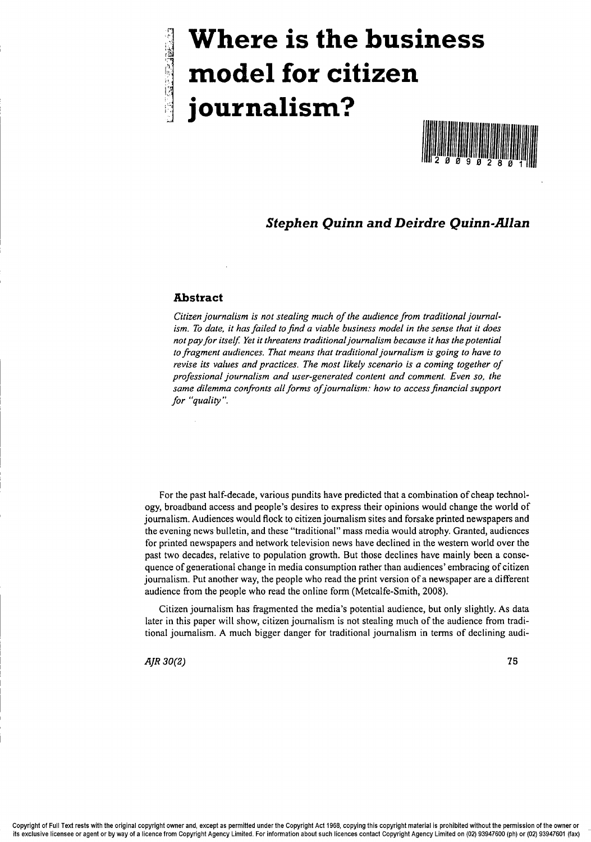# **Where is the business Inodel for citizen** journalism?



# *Stephen Quinn and Deirdre Quinn-Allan*

#### **Abstract**

:"., " I".

Citizen *journalism* is not stealing much of the audience from traditional journal*ism, To date, it hasfailed to find a viable business model in the sense that it does not payfor itself Yet it threatens traditionaljournalism because it has the potential to fragment audiences. That means that traditionaljournalism is going to have to revise its values and practices. The most likely scenario* is *a coming together of professional journalism and user-generated content and comment. Even so, the same dilemma confronts all forms ofjournalism: how to accessfinancial support for "quality* ".

For the past half-decade, various pundits have predicted that a combination of cheap technology, broadband access and people's desires to express their opinions would change the world of journalism. Audiences would flock to citizen journalism sites and forsake printed newspapers and the evening news bulletin, and these "traditional" mass media would atrophy. Granted, audiences for printed newspapers and network television news have declined in the western world over the past two decades, relative to population growth. But those declines have mainly been a consequence of generational change in media consumption rather than audiences' embracing of citizen journalism. Put another way, the people who read the print version of a newspaper are a different audience from the people who read the online form (Metcalfe-Smith, 2008).

Citizen journalism has fragmented the media's potential audience, but only slightly. As data later in this paper will show, citizen journalism is not stealing much of the audience from traditional journalism. A much bigger danger for traditional journalism in terms of declining audi-

*AIR 30(2)* **75**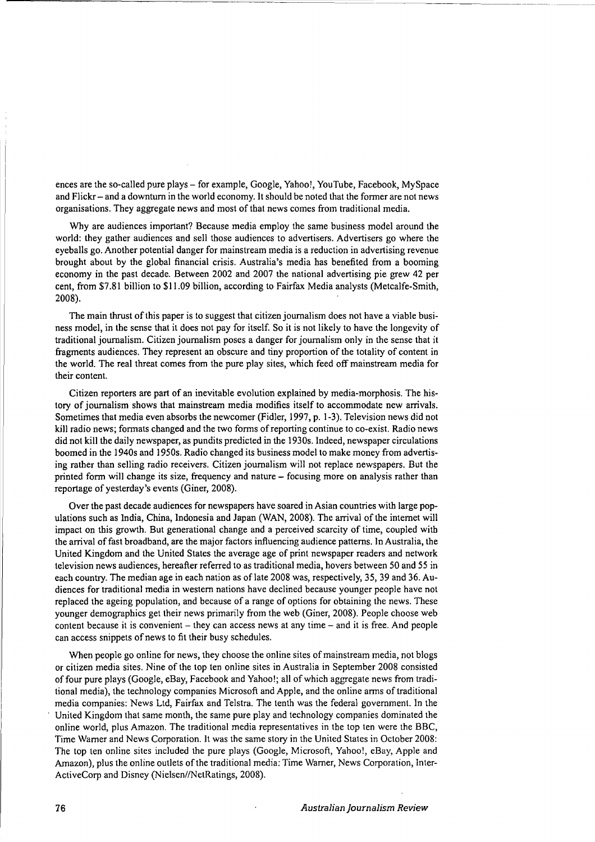ences are the so-called pure plays - for example, Google, Yahoo!, YouTube, Facebook, MySpace and Flickr- and a downturn in the world economy. It should be noted that the former are not news organisations. They aggregate news and most of that news comes from traditional media.

Why are audiences important? Because media employ the same business model around the world: they gather audiences and sell those audiences to advertisers. Advertisers go where the eyeballs go. Another potential danger for mainstream media is a reduction in advertising revenue brought about by the global financial crisis. Australia's media has benefited from a booming economy in the past decade. Between 2002 and 2007 the national advertising pie grew 42 per cent, from \$7.81 billion to \$11.09 billion, according to Fairfax Media analysts (Metcalfe-Smith, 2008).

The main thrust of this paper is to suggest that citizen journalism does not have a viable business model, in the sense that it does not pay for itself. So it is not likely to have the longevity of traditional journalism. Citizen journalism poses a danger for journalism only in the sense that it fragments audiences. They represent an obscure and tiny proportion of the totality of content in the world. The real threat comes from the pure play sites, which feed off mainstream media for their content.

Citizen reporters are part of an inevitable evolution explained by media-morphosis. The history of journalism shows that mainstream media modifies itself to accommodate new arrivals. Sometimes that media even absorbs the newcomer (Fidler, 1997, p. 1-3). Television news did not kill radio news; formats changed and the two forms ofreporting continue to co-exist. Radio news did not kill the daily newspaper, as pundits predicted in the 1930s. Indeed, newspaper circulations boomed in the I940s and 1950s. Radio changed its business model to make money from advertising rather than selling radio receivers. Citizen journalism will not replace newspapers. But the printed form will change its size, frequency and nature - focusing more on analysis rather than reportage of yesterday's events (Giner, 2008).

Over the past decade audiences for newspapers have soared in Asian countries with large populations such as India, China, Indonesia and Japan (WAN, 2008). The arrival of the internet will impact on this growth. But generational change and a perceived scarcity of time, coupled with the arrival offast broadband, are the major factors influencing audience patterns. In Australia, the United Kingdom and the United States the average age of print newspaper readers and network television news audiences, hereafter referred to as traditional media, hovers between 50 and 55 in each country. The median age in each nation as of late 2008 was, respectively, 35, 39 and 36. Audiences for traditional media in western nations have declined because younger people have not replaced the ageing population, and because of a range of options for obtaining the news. These younger demographics get their news primarily from the web (Giner, 2008). People choose web content because it is convenient  $-$  they can access news at any time  $-$  and it is free. And people can access snippets of news to fit their busy schedules.

When people go online for news, they choose the online sites of mainstream media, not blogs or citizen media sites. Nine of the top ten online sites in Australia in September 2008 consisted offour pure plays (Google, eBay, Facebook and Yahoo!; all of which aggregate news from traditional media), the technology companies Microsoft and Apple, and the online arms oftraditional media companies: News Ltd, Fairfax and Telstra. The tenth was the federal government. In the United Kjngdom that same month, the same pure play and technology companies dominated the online world, plus Amazon. The traditional media representatives in the top ten were the BBC, Time Warner and News Corporation. It was the same story in the United States in October 2008: The top ten online sites included the pure plays (Google, Microsoft, Yahoo!, eBay, Apple and Amazon), plus the online outlets of the traditional media: Time Warner, News Corporation, Inter-ActiveCorp and Disney (Nielsen//NetRatings, 2008).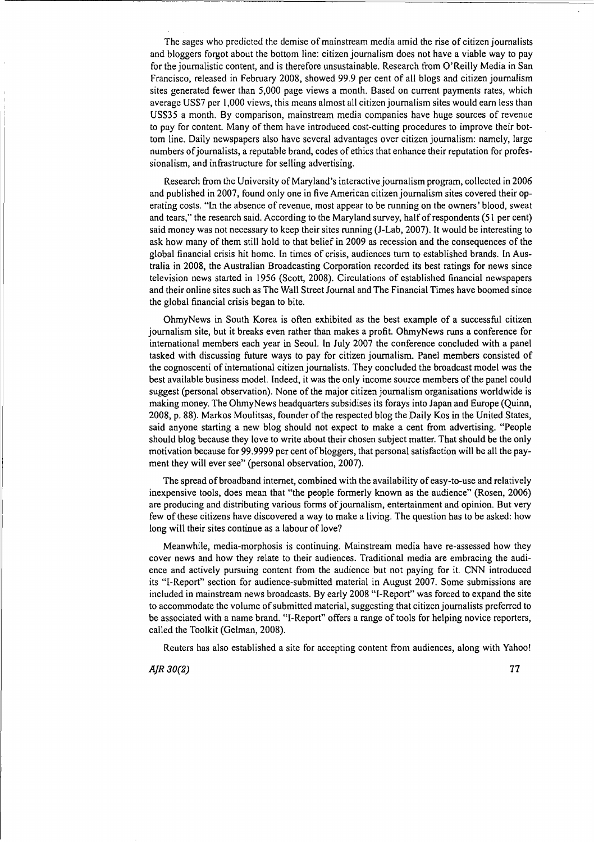The sages who predicted the demise of mainstream media amid the rise of citizen journalists and bloggers forgot about the bottom line: citizen journalism does not have a viable way to pay for the journalistic content, and is therefore unsustainable. Research from O'Reilly Media in San Francisco, released in February 2008, showed 99.9 per cent of all blogs and citizen journalism sites generated fewer than 5,000 page views a month. Based on current payments rates, which average US\$7 per 1,000 views, this means almost all citizen journalism sites would earn less than USS35 a month. By comparison, mainstream media companies have huge sources of revenue to pay for content. Many of them have introduced cost-cutting procedures to improve their bottom line. Daily newspapers also have several advantages over citizen journalism: namely, large numbers of journalists, a reputable brand, codes of ethics that enhance their reputation for professionalism, and infrastructure for selling advertising.

Research from the University of Maryland's interactive journalism program, collected in 2006 and published in 2007, found only one in five American citizen journalism sites covered their operating costs. "[n the absence of revenue, most appear to be running on the owners' blood, sweat and tears," the research said. According to the Maryland survey, half ofrespondents (51 per cent) said money was not necessary to keep their sites running (J-Lab, 2007). It would be interesting to ask how many of them still hold to that belief in 2009 as recession and the consequences of the global financial crisis hit home. **[n** times of crisis, audiences tum to established brands. In Australia in 2008, the Australian Broadcasting Corporation recorded its best ratings for news since television news started in 1956 (Scott, 2008). Circulations of established financial newspapers and their online sites such as The Wall Street Journal and The Financial Times have boomed since the global financial crisis began to bite.

OhmyNews in South Korea is often exhibited as the best example of a successful citizen journalism site, but it breaks even rather than makes a profit. OhmyNews runs a conference for international members each year in Seoul. **[n** July 2007 the conference concluded with a panel tasked with discussing future ways to pay for citizen journalism. Panel members consisted of the cognoscenti of international citizen journalists. They concluded the broadcast model was the best available business model. Indeed, it was the only income source members ofthe panel could suggest (personal observation). None of the major citizen journalism organisations worldwide is making money. The OhrnyNews headquarters subsidises its forays into Japan and Europe (Quinn, 2008, p. 88). Markos Moulitsas, founder ofthe respected blog the Daily Kos in the United States, said anyone starting a new blog should not expect to make a cent from advertising. "People should blog because they love to write about their chosen subject matter. That should be the only motivation because for 99.9999 per cent of bloggers, that personal satisfaction will be all the payment they will ever see" (personal observation, 2007).

The spread of broadband internet, combined with the availability of easy-to-use and relatively inexpensive tools, does mean that "the people formerly known as the audience" (Rosen, 2006) are producing and distributing various forms of journalism, entertainment and opinion. But very few of these citizens have discovered a way to make a living. The question has to be asked: how long will their sites continue as a labour of love?

Meanwhile, media-morphosis is continuing. Mainstream media have re-assessed how they cover news and how they relate to their audiences. Traditional media are embracing the audience and actively pursuing content from the audience but not paying for it. CNN introduced its "[-Report" section for audience-submitted material in August 2007. Some submissions are included in mainstream news broadcasts. By early 2008 "[-Report" was forced to expand the site to accommodate the volume of submitted material, suggesting that citizen journalists preferred to be associated with a name brand. "I-Report" offers a range of tools for helping novice reporters, called the Toolkit (Gelman, 2008).

Reuters has also established a site for accepting content from audiences, along with Yahoo!

*AIR 30(2)* 71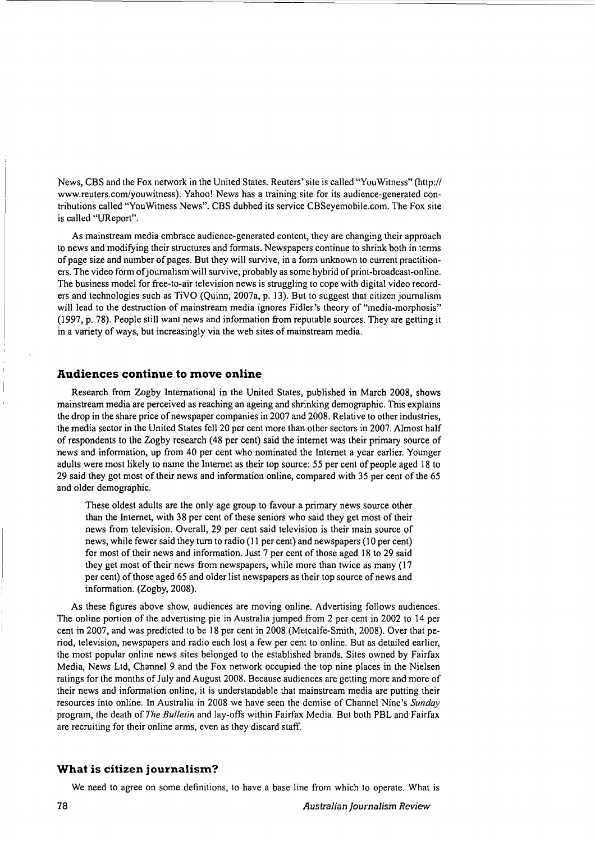News, CBS and the Fox network in the United States. Reuters' site is called "YouWitness" (http:// www.reuters.com/youwitness). Yahoo! News has a training site for its audience-generated contributions called "YouWitness News". CBS dubbed its service CBSeyemobile.com. The Fox site is called "UReport".

As mainstream media embrace audience-generated content, they are changing their approach to news and modifying their structures and formats. Newspapers continue to shrink both in tenns of page size and number of pages. But they will survive, in a form unknown to current practitioners. The video form ofjournalism will survive, probably as some hybrid ofprint-broadcast-online. The business model for free-to-air television news is struggling to cope with digital video recorders and technologies such as TiVO (Quinn, 2007a, p. 13). But to suggest that citizen journalism will lead to the destruction of mainstream media ignores Fidler's theory of "media-morphosis" (1997, p. 78). People still want news and information from reputable sources. They are getting it in a variety of ways, but increasingly via the web sites of mainstream media.

#### **Audiences continue to move online**

Research from Zogby International in the United States, published in March 2008, shows mainstream media are perceived as reaching an ageing and shrinking demographic. This explains the drop in the share price of newspaper companies in 2007 and 2008. Relative to other industries, the media sector in the United States fell 20 per cent more than other sectors in 2007. Almost half of respondents to the Zogby research (48 per cent) said the internet was their primary source of news and information, up from 40 per cent who nominated the Internet a year earlier. Younger adults were most likely to name the Internet as their top source: 55 per cent of people aged 18 to 29 said they got most oftheir news and information online, compared with 35 per cent of the 65 and older demographic.

These oldest adults are the only age group to favour a primary news source other than the Internet, with 38 per cent of these seniors who said they get most of their news from television. Overall, 29 per cent said television is their main source of news, while fewer said they turn to radio (11 per cent) and newspapers (10 per cent) for most of their news and information. Just  $7$  per cent of those aged 18 to 29 said they get most of their news from newspapers, while more than twice as many (17 per cent) of those aged 65 and older list newspapers as their top source of news and information. (Zogby, 2008).

As these figures above show, audiences are moving online. Advertising follows audiences. The online portion of the advertising pie in Australia jumped from 2 per cent in 2002 to 14 per cent in 2007, and was predicted to be 18 per cent in 2008 (Metcalfe-Smith, 2008). Over that period, television, newspapers and radio each lost a few per cent to online. But as detailed earlier, the most popular online news sites belonged to the established brands. Sites owned by Fairfax Media, News Ltd, Channel 9 and the Fox network occupied the top nine places in the Nielsen ratings for the months of July and August 2008. Because audiences are getting more and more of their news and information online, it is understandable that mainstream media are putting their resources into online. In Australia in 2008 we have seen the demise of Channel Nine's *Sunday* program, the death of *The Bulletin* and lay-offs within Fairfax Media. But both PBL and Fairfax are recruiting for their online arms, even as they discard staff.

#### **What is citizen journalism?**

We need to agree on some definitions, to have a base line from which to operate. What is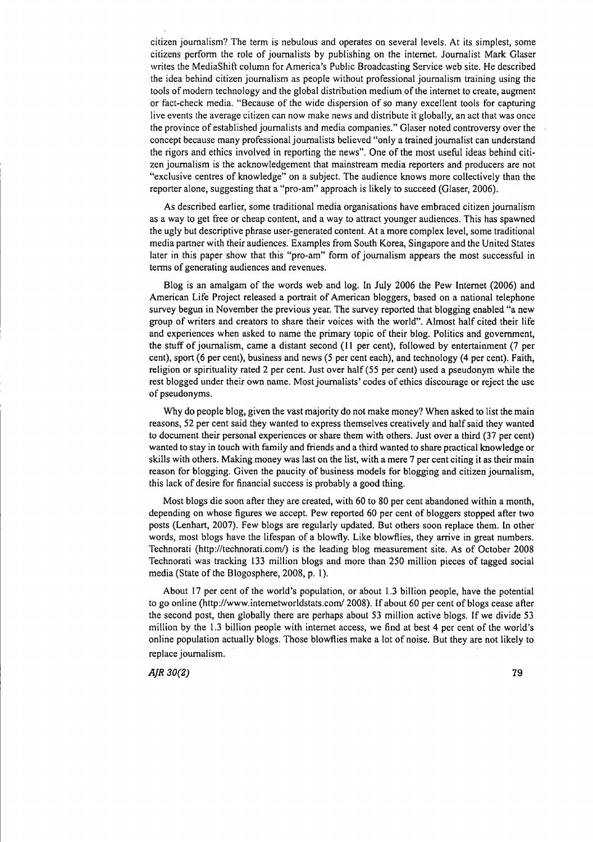citizen journalism? The term is nebulous and operates on several levels. At its simplest, some citizens perform the role of journalists by publishing on the internet. Journalist Mark Glaser writes the MediaShift column for America's Public Broadcasting Service web site. He described the idea behind citizen journalism as people without professional journalism training using the tools of modern technology and the global distribution medium ofthe internet to create, augment or fact-check media. "Because of the wide dispersion of so many excellent tools for capturing live events the average citizen can now make news and distribute it globally, an act that was once the province of established journalists and media companies." Glaser noted controversy over the concept because many professional journalists believed "only a trained journalist can understand the rigors and ethics involved in reporting the news". One of the most useful ideas behind citi· zen journalism is the acknowledgement that mainstream media reporters and producers are not "exclusive centres of knowledge" on a subject. The audience knows more collectively than the reporter alone, suggesting that a "pro-am" approach is likely to succeed (Glaser, 2006).

As described earlier, some traditional media organisations have embraced citizen journalism as a way to get free or cheap content, and a way to attract younger audiences. This has spawned the ugly but descriptive phrase user-generated content. At a more complex level, some traditional media partner with their audiences. Examples from South Korea, Singapore and the United States later in this paper show that this "pro-am" form of journalism appears the most successful in terms of generating audiences and revenues.

Blog is an amalgam of the words web and log. In July 2006 the Pew Internet (2006) and American Life Project released a portrait of American bloggers, based on a national telephone survey begun in November the previous year. The survey reported that blogging enabled "a new group of writers and creators to share their voices with the world". Almost half cited their life and experiences when asked to name the primary topic of their blog. Politics and government, the stuff ofjournalism, came a distant second (11 per cent), followed by entertainment (7 per cent), sport (6 per cent), business and news (5 per cent each), and technology (4 per cent). Faith, religion or spirituality rated 2 per cent. Just over half (55 per cent) used a pseudonym while the rest blogged under their own name. Most journalists' codes of ethics discourage or reject the use of pseudonyms.

Why do people blog, given the vast majority do not make money? When asked to list the main reasons, 52 per cent said they wanted to express themselves creatively and halfsaid they wanted to document their personal experiences or share them with others. Just over a third (37 per cent) wanted to stay in touch with family and friends and a third wanted to share practical knowledge or skills with others. Making money was last on the list, with a mere 7 per cent citing it as their main reason for blogging. Given the paucity of business models for blogging and citizen journalism, this lack of desire for financial success is probably a good thing.

Most blogs die soon after they are created, with 60 to 80 per cent abandoned within a month, depending on whose figures we accept. Pew reported 60 per cent of bloggers stopped after two posts (Lenhart, 2007). Few blogs are regularly updated. But others soon replace them. In other words, most blogs have the lifespan of a blowfly. Like blowflies, they arrive in great numbers. Technorati (http://technorati.com/) is the leading blog measurement site. As of October 2008 Technorati was tracking 133 million blogs and more than 250 million pieces of tagged social media (State of the Blogosphere, 2008, p. 1).

About 17 per cent of the world's population, or about 1.3 billion people, have the potential to go online (http://www.internetworldstats.com/2008). If about 60 per cent of blogs cease after the second post, then globally there are perhaps about 53 million active blogs. If we divide 53 million by the 1.3 billion people with internet access, we find at best 4 per cent of the world's online population actually blogs. Those blowflies make a lot of noise. But they are not likely to replace journalism.

*A]R 30(2)* 79

--------------\_..- --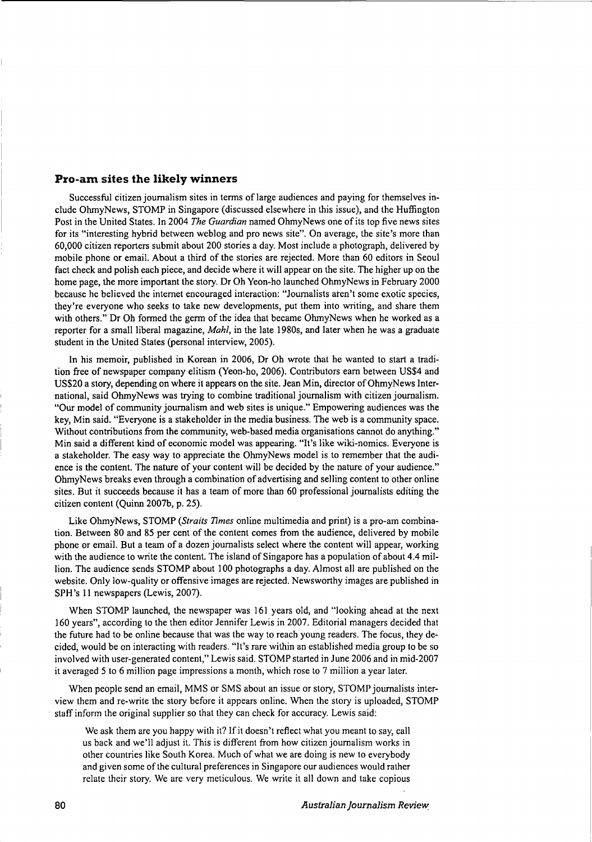#### **Pro-am sites the likely winners**

Successful citizen journalism sites in terms of large audiences and paying for themselves include OhmyNews, STOMP in Singapore (discussed elsewhere in this issue), and the Huffington Post in the United States. In 2004 *The Guardian* named OhmyNews one ofits top five news sites for its "interesting hybrid between weblog and pro news site". On average, the site's more than 60,000 citizen reporters submit about 200 stories a day. Most include a photograph, delivered by mobile phone or email. About a third of the stories are rejected. More than 60 editors in Seoul fact check and polish each piece, and decide where it will appear on the site. The higher up on the home page, the more important the story. Dr Oh Yeon-ho launched OhmyNews in February 2000 because he believed the internet encouraged interaction: "Journalists aren't some exotic species, they're everyone who seeks to take new developments, put them into writing, and share them with others." Dr Oh formed the germ of the idea that became OhmyNews when he worked as a reporter for a small liberal magazine, *Mahl,* in the late 1980s, and later when he was a graduate student in the United States (personal interview, 2005).

In his memoir, published in Korean in 2006, Dr Oh wrote that he wanted to start a tradition free of newspaper company elitism (Yeon-ho, 2006). Contributors earn between US\$4 and US\$20 a story, depending on where it appears on the site. Jean Min, director of OhmyNews International, said ObmyNews was trying to combine traditional journalism with citizen journalism. "Our model of community journalism and web sites is unique." Empowering audiences was the key, Min said. "Everyone is a stakeholder in the media business. The web is a community space. Without contributions from the community, web-based media organisations cannot do anything." Min said a different kind of economic model was appearing. "It's like wiki-nomics. Everyone is a stakeholder. The easy way to appreciate the OhmyNews model is to remember that the audience is the content. The nature of your content will be decided by the nature of your audience." OhmyNews breaks even through a combination of advertising and selling content to other online sites. But it succeeds because it has a team of more than 60 professional journalists editing the citizen content (Quinn 2007b, p. 25).

Like OhmyNews, STOMP *(Straits Times* online multimedia and print) is a pro-am combination. Between 80 and 85 per cent of the content comes from the audience, delivered by mobile phone or email. But a team of a dozen journalists select where the content will appear, working with the audience to write the content. The island of Singapore has a population of about 4.4 million. The audience sends STOMP about 100 photographs a day. Almost all are published on the website. Only low-quality or offensive images are rejected. Newsworthy images are published in SPH's 11 newspapers (Lewis, 2007).

When STOMP launched, the newspaper was 161 years old, and "looking ahead at the next 160 years", according to the then editor Jennifer Lewis in 2007. Editorial managers decided that the future had to be online because that was the way to reach young readers. The focus, they decided, would be on interacting with readers. "It's rare within an established media group to be so involved with user-generated content," Lewis said. STOMP started in June 2006 and in mid-2007 it averaged 5 to 6 million page impressions a month, which rose to 7 million a year later.

When people send an email, MMS or SMS about an issue or story, STOMP journalists interview them and re-write the story before it appears online. When the story is uploaded, STOMP . staff inform the original supplier so that they can check for accuracy. Lewis said:

We ask them are you happy with it? If it doesn't reflect what you meant to say, call us back and we'll adjust it. This is different from how citizen journalism works in other countries like South Korea. Much of what we are doing is new to everybody and given some ofthe cultural preferences in Singapore our audiences would rather relate their story. We are very meticulous. We write it all down and take copious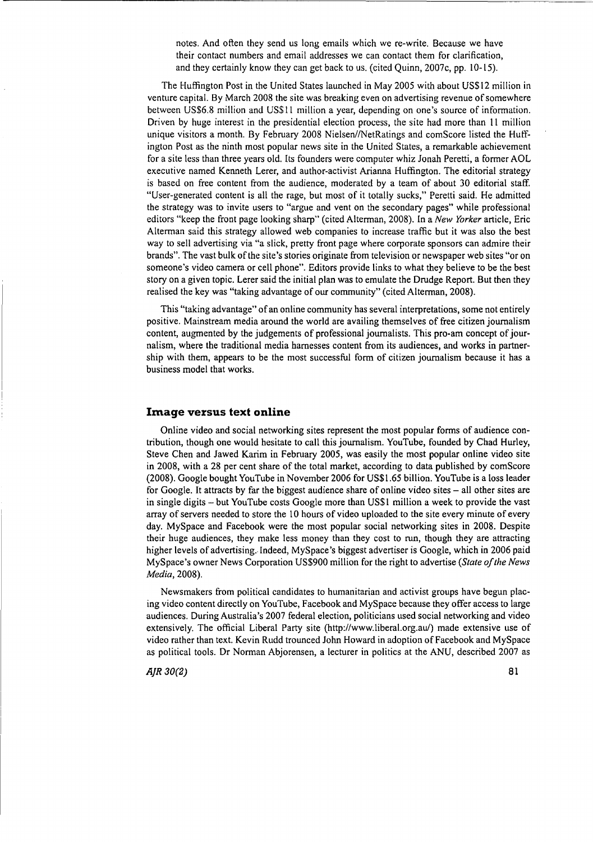notes. And often they send us long emails which we re-write. Because we have their contact numbers and email addresses we can contact them for clarification, and they certainly know they can get back to us. (cited Quinn, 2007c, pp. 10-15).

The Huffington Post in the United States launched in May 2005 with about US\$12 million in venture capital. By March 2008 the site was breaking even on advertising revenue ofsomewhere between US\$6.8 million and US\$11 million a year, depending on one's source of information. Driven by huge interest in the presidential election process, the site had more than 11 million unique visitors a month. By February 2008 Nielsen/lNetRatings and comScore listed the Huffington Post as the ninth most popular news site in the United States, a remarkable achievement for a site less than three years old. Its founders were computer whiz Jonah Peretti, a former AOL executive named Kenneth Lerer, and author-activist Arianna Huffington. The editorial strategy is based on free content from the audience, moderated by a team of about 30 editorial staff. "User-generated content is all the rage, but most of it totally sucks," Peretti said. He admitted the strategy was to invite users to "argue and vent on the secondary pages" while professional editors "keep the front page looking sharp" (cited Alterman, 2008). In a *New Yorker* article, Eric Alterman said this strategy allowed web companies to increase traffic but it was also the best way to sell advertising via "a slick, pretty front page where corporate sponsors can admire their brands". The vast bulk ofthe site's stories originate from television or newspaper web sites "or on someone's video camera or cell phone". Editors provide links to what they believe to be the best story on a given topic. Lerer said the initial plan was to emulate the Drudge Report. But then they realised the key was "taking advantage of our community" (cited Alterman, 2008).

This "taking advantage" of an online community has several interpretations, some not entirely positive. Mainstream media around the world are availing themselves of free citizen journalism content, augmented by the judgements of professional journalists. This pro-am concept of journalism, where the traditional media harnesses content from its audiences, and works in partnership with them, appears to be the most successful form of citizen journalism because it has a business model that works.

#### **Image versus text online**

Online video and social networking sites represent the most popular forms of audience contribution, though one would hesitate to call this journalism. YouTube, founded by Chad Hurley, Steve Chen and Jawed Karim in February 2005, was easily the most popular online video site in 2008, with a 28 per cent share of the total market, according to data published by comScore (2008). Google bought YouTube in November 2006 for US\$I.65 billion. YouTube is a loss leader for Google. It attracts by far the biggest audience share of online video sites - all other sites are in single digits - but YouTube costs Google more than US\$1 million a week to provide the vast array of servers needed to store the 10 hours of video uploaded to the site every minute of every day. MySpace and Facebook were the most popular social networking sites in 2008. Despite their huge audiences, they make less money than they cost to run, though they are attracting higher levels of advertising.. Indeed, MySpace's biggest advertiser is Google, which in 2006 paid MySpace's owner News Corporation US\$900 million for the right to advertise *(State ofthe News Media, 2008).*

Newsmakers from political candidates to humanitarian and activist groups have begun placing video content directly on YouTube, Facebook and MySpace because they offer access to large audiences. During Australia's 2007 federal election, politicians used social networking and video extensively. The official Liberal Party site (http://www.liberal.org.au/) made extensive use of video rather than text. Kevin Rudd trounced John Howard in adoption ofFacebook and MySpace as political tools. Dr Norman Abjorensen, a lecturer in politics at the ANU, described 2007 as

*AiR 30(2)* **81**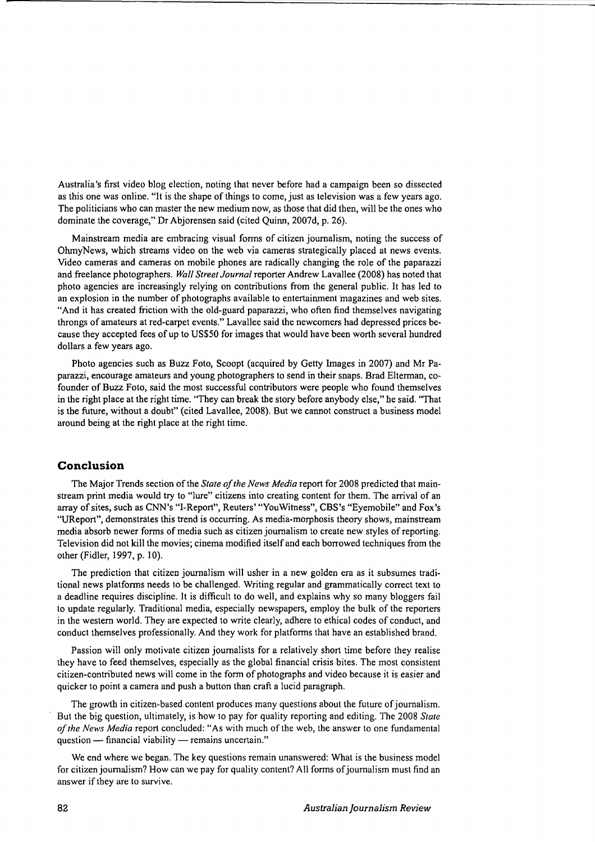Australia's first video blog election, noting that never before had a campaign been so dissected as this one was online. "It is the shape of things to come, just as television was a few years ago. The politicians who can master the new medium now, as those that did then, will be the ones who dominate the coverage," Dr Abjorensen said (cited Quinn, 2007d, p. 26).

Mainstream media are embracing visual forms of citizen journalism, noting the success of OhmyNews, which streams video on the web via cameras strategically placed at news events. Video cameras and cameras on mobile phones are radically changing the role of the paparazzi and freelance photographers. *Wall Street Journal* reporter Andrew Lavallee (2008) has noted that photo agencies are increasingly relying on contributions from the general public. It has led to an explosion in the number of photographs available to entertainment magazines and web sites. "And it has created friction with the old-guard paparazzi, who often find themselves navigating throngs of amateurs at red-carpet events." Lavallee said the newcomers had depressed prices because they accepted fees of up to US\$50 for images that would have been worth several hundred dollars a few years ago.

Photo agencies such as Buzz Foto, Scoopt (acquired by Getty Images in 2007) and Mr Paparazzi, encourage amateurs and young photographers to send in their snaps. Brad Elterman, cofounder of Buzz Foto, said the most successful contributors were people who found themselves in the right place at the right time. 'They can break the story before anybody else," he said. "That is the future, without a doubt" (cited Lavallee, 2008). But we cannot construct a business model around being at the right place at the right time.

### **Conclusion**

The Major Trends section of the *State of the News Media* report for 2008 predicted that mainstream print media would try to "lure" citizens into creating content for them. The arrival of an array ofsites, such as CNN's "I-Report", Reuters' "YouWitness", CBS's "Eyemobile" and Fox's "UReport", demonstrates this trend is occurring. As media-morphosis theory shows, mainstream media absorb newer forms of media such as citizen journalism to create new styles of reporting. Television did not kill the movies; cinema modified itself and each borrowed techniques from the other (Fidler, 1997, p. 10).

The prediction that citizen journalism will usher in a new golden era as it subsumes traditional news platforms needs to be challenged. Writing regular and grammatically correct text to a deadline requires discipline. It is difficult to do well, and explains why so many bloggers fail to update regularly. Traditional media, especially newspapers, employ the bulk of the reporters in the western world. They are expected to write clearly, adhere to ethical codes of conduct, and conduct themselves professionally. And they work for platforms that have an established brand.

Passion will only motivate citizen journalists for a relatively short time before they realise they have to feed themselves, especially as the global financial crisis bites. The most consistent citizen-contributed news will come in the form of photographs and video because it is easier and quicker to point a camera and push a button than craft a lucid paragraph.

The growth in citizen-based content produces many questions about the future of journalism. But the big question, ultimately, is how to pay for quality reporting and editing. The 2008 *State ofthe News Media* report concluded: "As with much ofthe web, the answer to one fundamental question - financial viability - remains uncertain."

We end where we began. The key questions remain unanswered: What is the business model for citizen journalism? How can we pay for quality content? All forms of journalism must find an answer if they are to survive.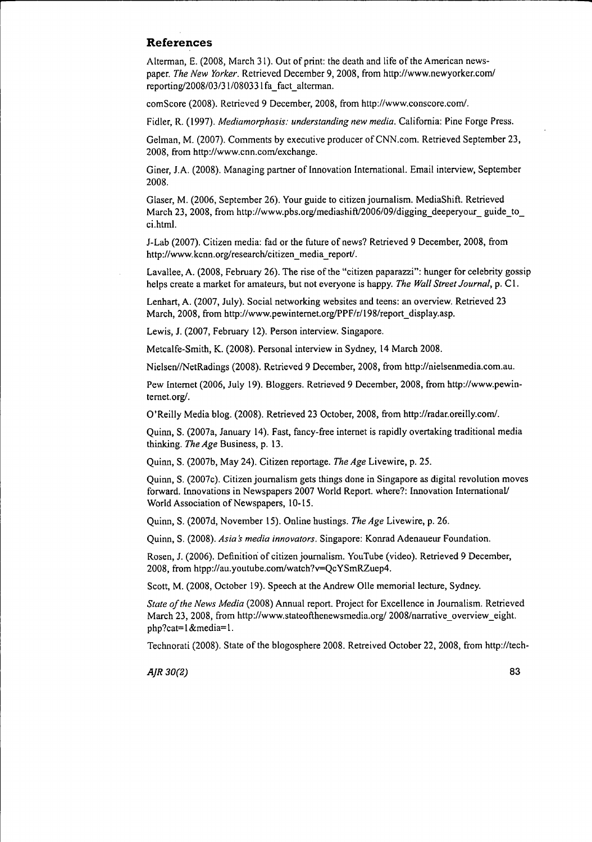# **References**

Alterman, E. (2008, March 31). Out of print: the death and life of the American newspaper. *The New Yorker.* Retrieved December 9,2008, from http://www.newyorker.com/ reporting/2008/03/31/080331fa fact alterman.

comScore (2008). Retrieved 9 December, 2008, from http://www.conscore.com/.

Fidler, R. (1997). *Mediamorphosis: understanding new media.* California: Pine Forge Press.

Gelman, M. (2007). Comments by executive producer of CNN.com. Retrieved September 23, 2008, from http://www.cnn.com/exchange.

Giner, 1.A. (2008). Managing partner of lnnovation lnternational. Email interview, September 2008.

Glaser, M. (2006, September 26). Your guide to citizen journalism. MediaShift. Retrieved March 23, 2008, from http://www.pbs.org/mediashift/2006/09/digging\_deeperyour\_ guide\_to\_ ci.html.

J-Lab (2007). Citizen media: fad or the future of news? Retrieved 9 December, 2008, from http://www.kcnn.org/research/citizen\_media\_report/.

Lavallee, A. (2008, February 26). The rise of the "citizen paparazzi": hunger for celebrity gossip helps create a market for amateurs, but not everyone is happy. *The Wall Street Journal,* p. C1.

Lenhart, A. (2007, July). Social networking websites and teens: an overview. Retrieved 23 March, 2008, from http://www.pewinternet.org/PPF/r/198/report\_display.asp.

Lewis,1. (2007, February 12). Person interview. Singapore.

Metcalfe-Smith, K. (2008). Personal interview in Sydney, 14 March 2008.

Nielseni/NetRadings (2008). Retrieved 9 December, 2008, from http://nielsenmedia.com.au.

Pew lnternet (2006, July 19). Bloggers. Retrieved 9 December, 2008, from http://www.pewintemet.org/.

O'Reilly Media blog. (2008). Retrieved 23 October, 2008, from http://radar.oreilly.com/.

Quinn, S. (2007a, January 14). Fast, fancy-free internet is rapidly overtaking traditional media thinking. *The Age* Business, p. 13.

Quinn, S. (2007b, May 24). Citizen reportage. *The Age* Livewire, p. 25.

Quinn, S. (2007c). Citizen journalism gets things done in Singapore as digital revolution moves forward. lnnovations in Newspapers 2007 World Report. where?: lnnovation lntemationaV World Association of Newspapers, 10-15.

Quinn, S. (2007d, November 15). Online hustings. *The Age* Livewire, p. 26.

Quinn, S. (2008). *Asia* s*media innovators.* Singapore: Konrad Adenaueur Foundation.

Rosen, J. (2006). Definition of citizen journalism. YouTube (video). Retrieved 9 December, 2008, from htpp://au.youtube.com/watch?v=QcYSmRZuep4.

Scott, M. (2008, October 19). Speech at the Andrew Olle memorial lecture, Sydney.

*State a/the News Media* (2008) Annual report. Project for Excellence in Journalism. Retrieved March 23, 2008, from http://www.stateofthenewsmedia.org/ 2008/narrative\_overview\_eight. php?cat=1&media=1.

Technorati (2008). State of the blogosphere 2008. Retreived October 22, 2008, from http://tech-

*AiR 30(2)* 83